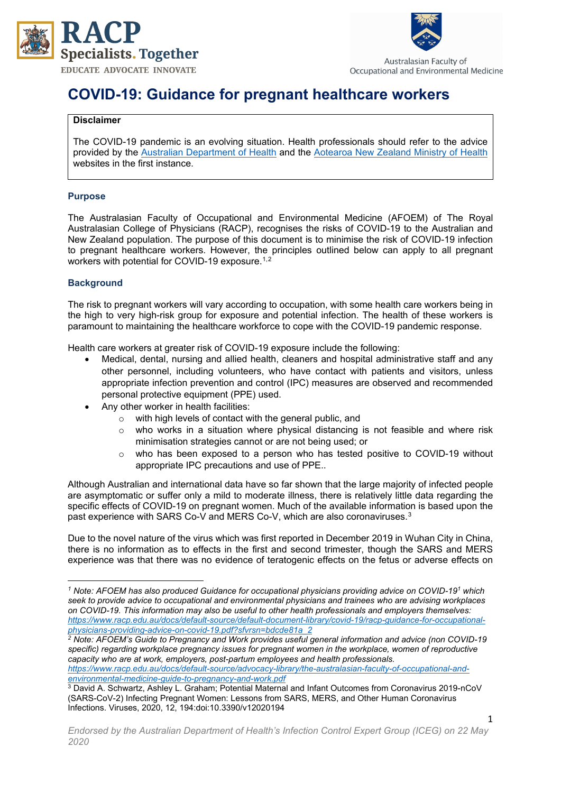



Australasian Faculty of Occupational and Environmental Medicine

# **COVID-19: Guidance for pregnant healthcare workers**

## **Disclaimer**

The COVID-19 pandemic is an evolving situation. Health professionals should refer to the advice provided by the [Australian Department of Health](https://www.health.gov.au/news/health-alerts/novel-coronavirus-2019-ncov-health-alert) and the [Aotearoa New Zealand Ministry of Health](https://www.health.govt.nz/our-work/diseases-and-conditions/COVID-19-novel-coronavirus) websites in the first instance.

# **Purpose**

The Australasian Faculty of Occupational and Environmental Medicine (AFOEM) of The Royal Australasian College of Physicians (RACP), recognises the risks of COVID-19 to the Australian and New Zealand population. The purpose of this document is to minimise the risk of COVID-19 infection to pregnant healthcare workers. However, the principles outlined below can apply to all pregnant workers with potential for COVID-[1](#page-0-0)9 exposure.<sup>1,[2](#page-0-1)</sup>

## **Background**

The risk to pregnant workers will vary according to occupation, with some health care workers being in the high to very high-risk group for exposure and potential infection. The health of these workers is paramount to maintaining the healthcare workforce to cope with the COVID-19 pandemic response.

Health care workers at greater risk of COVID-19 exposure include the following:

- Medical, dental, nursing and allied health, cleaners and hospital administrative staff and any other personnel, including volunteers, who have contact with patients and visitors, unless appropriate infection prevention and control (IPC) measures are observed and recommended personal protective equipment (PPE) used.
- Any other worker in health facilities:
	- o with high levels of contact with the general public, and
	- who works in a situation where physical distancing is not feasible and where risk minimisation strategies cannot or are not being used; or
	- o who has been exposed to a person who has tested positive to COVID-19 without appropriate IPC precautions and use of PPE..

Although Australian and international data have so far shown that the large majority of infected people are asymptomatic or suffer only a mild to moderate illness, there is relatively little data regarding the specific effects of COVID-19 on pregnant women. Much of the available information is based upon the past experience with SARS Co-V and MERS Co-V, which are also coronaviruses.<sup>[3](#page-0-2)</sup>

Due to the novel nature of the virus which was first reported in December 2019 in Wuhan City in China, there is no information as to effects in the first and second trimester, though the SARS and MERS experience was that there was no evidence of teratogenic effects on the fetus or adverse effects on

*[environmental-medicine-guide-to-pregnancy-and-work.pdf](https://www.racp.edu.au/docs/default-source/advocacy-library/the-australasian-faculty-of-occupational-and-environmental-medicine-guide-to-pregnancy-and-work.pdf)* <sup>3</sup> David A. Schwartz, Ashley L. Graham; Potential Maternal and Infant Outcomes from Coronavirus 2019-nCoV

<span id="page-0-0"></span>*<sup>1</sup> Note: AFOEM has also produced Guidance for occupational physicians providing advice on COVID-191 which seek to provide advice to occupational and environmental physicians and trainees who are advising workplaces on COVID-19. This information may also be useful to other health professionals and employers themselves: [https://www.racp.edu.au/docs/default-source/default-document-library/covid-19/racp-guidance-for-occupational](https://www.racp.edu.au/docs/default-source/default-document-library/covid-19/racp-guidance-for-occupational-physicians-providing-advice-on-covid-19.pdf?sfvrsn=bdcde81a_2)[physicians-providing-advice-on-covid-19.pdf?sfvrsn=bdcde81a\\_2](https://www.racp.edu.au/docs/default-source/default-document-library/covid-19/racp-guidance-for-occupational-physicians-providing-advice-on-covid-19.pdf?sfvrsn=bdcde81a_2)*

<span id="page-0-1"></span>*<sup>2</sup> Note: AFOEM's Guide to Pregnancy and Work provides useful general information and advice (non COVID-19 specific) regarding workplace pregnancy issues for pregnant women in the workplace, women of reproductive capacity who are at work, employers, post-partum employees and health professionals. [https://www.racp.edu.au/docs/default-source/advocacy-library/the-australasian-faculty-of-occupational-and-](https://www.racp.edu.au/docs/default-source/advocacy-library/the-australasian-faculty-of-occupational-and-environmental-medicine-guide-to-pregnancy-and-work.pdf)*

<span id="page-0-2"></span><sup>(</sup>SARS-CoV-2) Infecting Pregnant Women: Lessons from SARS, MERS, and Other Human Coronavirus Infections. Viruses, 2020, 12, 194:doi:10.3390/v12020194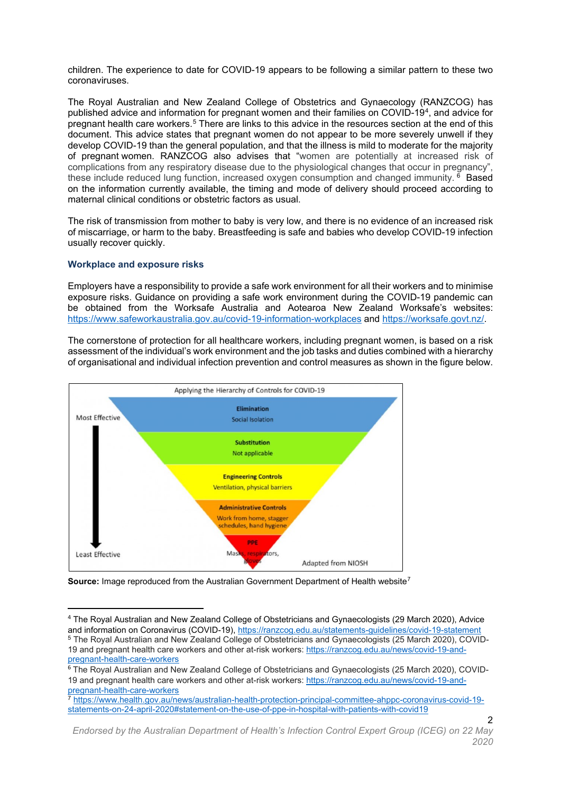children. The experience to date for COVID-19 appears to be following a similar pattern to these two coronaviruses.

The Royal Australian and New Zealand College of Obstetrics and Gynaecology (RANZCOG) has published advice and information for pregnant women and their families on COVID-19[4,](#page-1-0) and advice for pregnant health care workers.[5](#page-1-1) There are links to this advice in the resources section at the end of this document. This advice states that pregnant women do not appear to be more severely unwell if they develop COVID-19 than the general population, and that the illness is mild to moderate for the majority of pregnant women. RANZCOG also advises that "women are potentially at increased risk of complications from any respiratory disease due to the physiological changes that occur in pregnancy", these include reduced lung function, increased oxygen consumption and changed immunity. <sup>[6](#page-1-2)</sup> Based on the information currently available, the timing and mode of delivery should proceed according to maternal clinical conditions or obstetric factors as usual.

The risk of transmission from mother to baby is very low, and there is no evidence of an increased risk of miscarriage, or harm to the baby. Breastfeeding is safe and babies who develop COVID-19 infection usually recover quickly.

## **Workplace and exposure risks**

Employers have a responsibility to provide a safe work environment for all their workers and to minimise exposure risks. Guidance on providing a safe work environment during the COVID-19 pandemic can be obtained from the Worksafe Australia and Aotearoa New Zealand Worksafe's websites: <https://www.safeworkaustralia.gov.au/covid-19-information-workplaces> and [https://worksafe.govt.nz/.](https://worksafe.govt.nz/)

The cornerstone of protection for all healthcare workers, including pregnant women, is based on a risk assessment of the individual's work environment and the job tasks and duties combined with a hierarchy of organisational and individual infection prevention and control measures as shown in the figure below.



**Source:** Image reproduced from the Australian Government Department of Health website<sup>[7](#page-1-3)</sup>

 $\mathfrak{p}$ 

<span id="page-1-1"></span><span id="page-1-0"></span><sup>4</sup> The Royal Australian and New Zealand College of Obstetricians and Gynaecologists (29 March 2020), Advice and information on Coronavirus (COVID-19)[, https://ranzcog.edu.au/statements-guidelines/covid-19-statement](https://ranzcog.edu.au/statements-guidelines/covid-19-statement) <sup>5</sup> The Royal Australian and New Zealand College of Obstetricians and Gynaecologists (25 March 2020), COVID-19 and pregnant health care workers and other at-risk workers: [https://ranzcog.edu.au/news/covid-19-and](https://ranzcog.edu.au/news/covid-19-and-pregnant-health-care-workers)[pregnant-health-care-workers](https://ranzcog.edu.au/news/covid-19-and-pregnant-health-care-workers)

<span id="page-1-2"></span><sup>&</sup>lt;sup>6</sup> The Royal Australian and New Zealand College of Obstetricians and Gynaecologists (25 March 2020), COVID-19 and pregnant health care workers and other at-risk workers: [https://ranzcog.edu.au/news/covid-19-and](https://ranzcog.edu.au/news/covid-19-and-pregnant-health-care-workers)[pregnant-health-care-workers](https://ranzcog.edu.au/news/covid-19-and-pregnant-health-care-workers)<br>
Thttps://www.

<span id="page-1-3"></span><sup>7</sup> [https://www.health.gov.au/news/australian-health-protection-principal-committee-ahppc-coronavirus-covid-19](https://www.health.gov.au/news/australian-health-protection-principal-committee-ahppc-coronavirus-covid-19-statements-on-24-april-2020#statement-on-the-use-of-ppe-in-hospital-with-patients-with-covid19) [statements-on-24-april-2020#statement-on-the-use-of-ppe-in-hospital-with-patients-with-covid19](https://www.health.gov.au/news/australian-health-protection-principal-committee-ahppc-coronavirus-covid-19-statements-on-24-april-2020#statement-on-the-use-of-ppe-in-hospital-with-patients-with-covid19)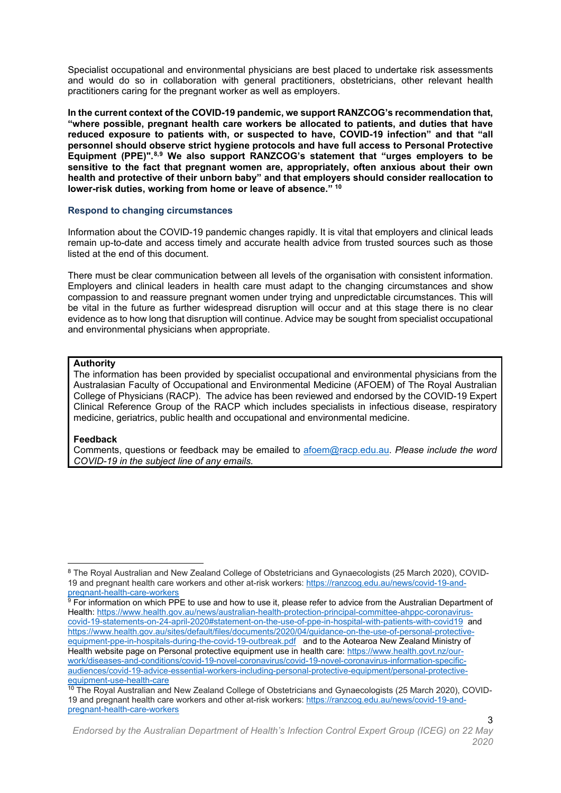Specialist occupational and environmental physicians are best placed to undertake risk assessments and would do so in collaboration with general practitioners, obstetricians, other relevant health practitioners caring for the pregnant worker as well as employers.

**In the current context of the COVID-19 pandemic, we support RANZCOG's recommendation that, "where possible, pregnant health care workers be allocated to patients, and duties that have reduced exposure to patients with, or suspected to have, COVID-19 infection" and that "all personnel should observe strict hygiene protocols and have full access to Personal Protective Equipment (PPE)".[8,](#page-2-0)[9](#page-2-1) We also support RANZCOG's statement that "urges employers to be sensitive to the fact that pregnant women are, appropriately, often anxious about their own health and protective of their unborn baby" and that employers should consider reallocation to lower-risk duties, working from home or leave of absence." [10](#page-2-2)**

## **Respond to changing circumstances**

Information about the COVID-19 pandemic changes rapidly. It is vital that employers and clinical leads remain up-to-date and access timely and accurate health advice from trusted sources such as those listed at the end of this document.

There must be clear communication between all levels of the organisation with consistent information. Employers and clinical leaders in health care must adapt to the changing circumstances and show compassion to and reassure pregnant women under trying and unpredictable circumstances. This will be vital in the future as further widespread disruption will occur and at this stage there is no clear evidence as to how long that disruption will continue. Advice may be sought from specialist occupational and environmental physicians when appropriate.

#### **Authority**

The information has been provided by specialist occupational and environmental physicians from the Australasian Faculty of Occupational and Environmental Medicine (AFOEM) of The Royal Australian College of Physicians (RACP). The advice has been reviewed and endorsed by the COVID-19 Expert Clinical Reference Group of the RACP which includes specialists in infectious disease, respiratory medicine, geriatrics, public health and occupational and environmental medicine.

#### **Feedback**

Comments, questions or feedback may be emailed to [afoem@racp.edu.au.](mailto:afoem@racp.edu.au) *Please include the word COVID-19 in the subject line of any emails.* 

3

<span id="page-2-0"></span><sup>8</sup> The Royal Australian and New Zealand College of Obstetricians and Gynaecologists (25 March 2020), COVID-19 and pregnant health care workers and other at-risk workers: [https://ranzcog.edu.au/news/covid-19-and](https://ranzcog.edu.au/news/covid-19-and-pregnant-health-care-workers)[pregnant-health-care-workers](https://ranzcog.edu.au/news/covid-19-and-pregnant-health-care-workers)

<span id="page-2-1"></span> $^9$  For information on which PPE to use and how to use it, please refer to advice from the Australian Department of Health: [https://www.health.gov.au/news/australian-health-protection-principal-committee-ahppc-coronavirus](https://www.health.gov.au/news/australian-health-protection-principal-committee-ahppc-coronavirus-covid-19-statements-on-24-april-2020#statement-on-the-use-of-ppe-in-hospital-with-patients-with-covid19)[covid-19-statements-on-24-april-2020#statement-on-the-use-of-ppe-in-hospital-with-patients-with-covid19](https://www.health.gov.au/news/australian-health-protection-principal-committee-ahppc-coronavirus-covid-19-statements-on-24-april-2020#statement-on-the-use-of-ppe-in-hospital-with-patients-with-covid19) and [https://www.health.gov.au/sites/default/files/documents/2020/04/guidance-on-the-use-of-personal-protective](https://www.health.gov.au/sites/default/files/documents/2020/04/guidance-on-the-use-of-personal-protective-equipment-ppe-in-hospitals-during-the-covid-19-outbreak.pdf)[equipment-ppe-in-hospitals-during-the-covid-19-outbreak.pdf](https://www.health.gov.au/sites/default/files/documents/2020/04/guidance-on-the-use-of-personal-protective-equipment-ppe-in-hospitals-during-the-covid-19-outbreak.pdf) and to the Aotearoa New Zealand Ministry of Health website page on Personal protective equipment use in health care[: https://www.health.govt.nz/our](https://www.health.govt.nz/our-work/diseases-and-conditions/covid-19-novel-coronavirus/covid-19-novel-coronavirus-information-specific-audiences/covid-19-advice-essential-workers-including-personal-protective-equipment/personal-protective-equipment-use-health-care)[work/diseases-and-conditions/covid-19-novel-coronavirus/covid-19-novel-coronavirus-information-specific](https://www.health.govt.nz/our-work/diseases-and-conditions/covid-19-novel-coronavirus/covid-19-novel-coronavirus-information-specific-audiences/covid-19-advice-essential-workers-including-personal-protective-equipment/personal-protective-equipment-use-health-care)[audiences/covid-19-advice-essential-workers-including-personal-protective-equipment/personal-protective](https://www.health.govt.nz/our-work/diseases-and-conditions/covid-19-novel-coronavirus/covid-19-novel-coronavirus-information-specific-audiences/covid-19-advice-essential-workers-including-personal-protective-equipment/personal-protective-equipment-use-health-care)[equipment-use-health-care](https://www.health.govt.nz/our-work/diseases-and-conditions/covid-19-novel-coronavirus/covid-19-novel-coronavirus-information-specific-audiences/covid-19-advice-essential-workers-including-personal-protective-equipment/personal-protective-equipment-use-health-care)

<span id="page-2-2"></span><sup>&</sup>lt;sup>10</sup> The Royal Australian and New Zealand College of Obstetricians and Gynaecologists (25 March 2020), COVID-19 and pregnant health care workers and other at-risk workers: [https://ranzcog.edu.au/news/covid-19-and](https://ranzcog.edu.au/news/covid-19-and-pregnant-health-care-workers)[pregnant-health-care-workers](https://ranzcog.edu.au/news/covid-19-and-pregnant-health-care-workers)